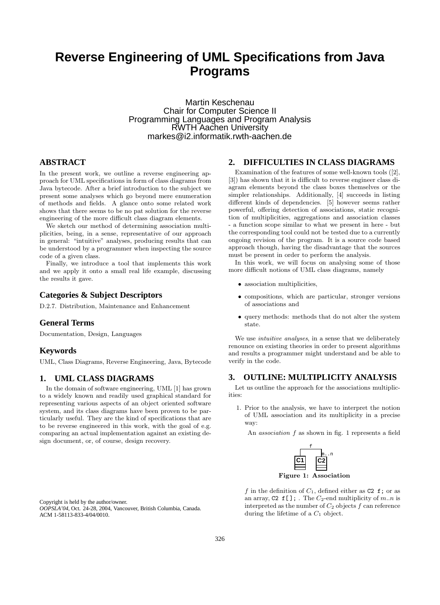# **Reverse Engineering of UML Specifications from Java Programs**

Martin Keschenau Chair for Computer Science II Programming Languages and Program Analysis RWTH Aachen University markes@i2.informatik.rwth-aachen.de

## **ABSTRACT**

In the present work, we outline a reverse engineering approach for UML specifications in form of class diagrams from Java bytecode. After a brief introduction to the subject we present some analyses which go beyond mere enumeration of methods and fields. A glance onto some related work shows that there seems to be no pat solution for the reverse engineering of the more difficult class diagram elements.

We sketch our method of determining association multiplicities, being, in a sense, representative of our approach in general: "intuitive" analyses, producing results that can be understood by a programmer when inspecting the source code of a given class.

Finally, we introduce a tool that implements this work and we apply it onto a small real life example, discussing the results it gave.

## **Categories & Subject Descriptors**

D.2.7. Distribution, Maintenance and Enhancement

### **General Terms**

Documentation, Design, Languages

#### **Keywords**

UML, Class Diagrams, Reverse Engineering, Java, Bytecode

### **1. UML CLASS DIAGRAMS**

In the domain of software engineering, UML [1] has grown to a widely known and readily used graphical standard for representing various aspects of an object oriented software system, and its class diagrams have been proven to be particularly useful. They are the kind of specifications that are to be reverse engineered in this work, with the goal of e.g. comparing an actual implementation against an existing design document, or, of course, design recovery.

Copyright is held by the author/owner. *OOPSLA'04,* Oct. 24-28, 2004, Vancouver, British Columbia, Canada. ACM 1-58113-833-4/04/0010.

## **2. DIFFICULTIES IN CLASS DIAGRAMS**

Examination of the features of some well-known tools ([2], [3]) has shown that it is difficult to reverse engineer class diagram elements beyond the class boxes themselves or the simpler relationships. Additionally, [4] succeeds in listing different kinds of dependencies. [5] however seems rather powerful, offering detection of associations, static recognition of multiplicities, aggregations and association classes - a function scope similar to what we present in here - but the corresponding tool could not be tested due to a currently ongoing revision of the program. It is a source code based approach though, having the disadvantage that the sources must be present in order to perform the analysis.

In this work, we will focus on analysing some of those more difficult notions of UML class diagrams, namely

- association multiplicities,
- compositions, which are particular, stronger versions of associations and
- query methods: methods that do not alter the system state.

We use intuitive analyses, in a sense that we deliberately renounce on existing theories in order to present algorithms and results a programmer might understand and be able to verify in the code.

# **3. OUTLINE: MULTIPLICITY ANALYSIS**

Let us outline the approach for the associations multiplicities:

1. Prior to the analysis, we have to interpret the notion of UML association and its multiplicity in a precise way:

An association f as shown in fig. 1 represents a field



f in the definition of  $C_1$ , defined either as C2 f; or as an array, C<sub>2</sub> f<sub>[]</sub>; The  $C_2$ -end multiplicity of m.m is interpreted as the number of  $C_2$  objects f can reference during the lifetime of a  $C_1$  object.